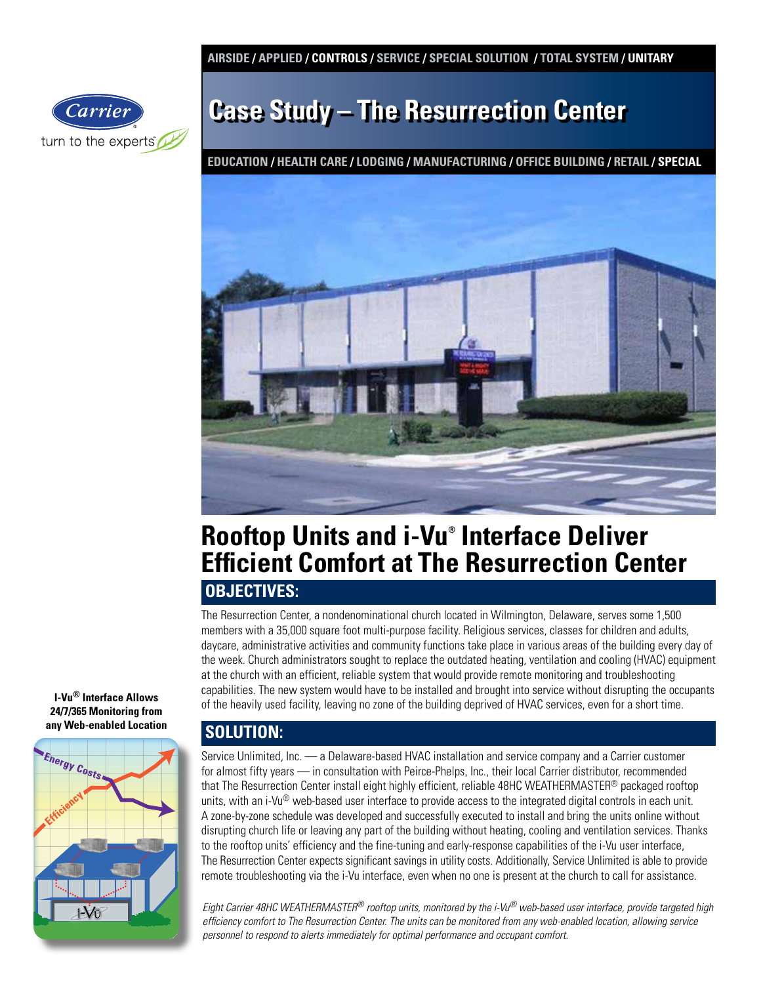**AIRSIDE / APPLIED / CONTROLS / SERVICE / SPECIAL SOLUTION / TOTAL SYSTEM / UNITARY** 



# **Case Study – The Resurrection Center**

**EDUCATION / HEALTH CARE / LODGING / MANUFACTURING / OFFICE BUILDING / RETAIL / SPECIAL**



## **Rooftop Units and i-Vu® Interface Deliver Efficient Comfort at The Resurrection Center**

### **OBJECTIVES:**

The Resurrection Center, a nondenominational church located in Wilmington, Delaware, serves some 1,500 members with a 35,000 square foot multi-purpose facility. Religious services, classes for children and adults, daycare, administrative activities and community functions take place in various areas of the building every day of the week. Church administrators sought to replace the outdated heating, ventilation and cooling (HVAC) equipment at the church with an efficient, reliable system that would provide remote monitoring and troubleshooting capabilities. The new system would have to be installed and brought into service without disrupting the occupants of the heavily used facility, leaving no zone of the building deprived of HVAC services, even for a short time.

## **SOLUTION:**

Service Unlimited, Inc. — a Delaware-based HVAC installation and service company and a Carrier customer for almost fifty years — in consultation with Peirce-Phelps, Inc., their local Carrier distributor, recommended that The Resurrection Center install eight highly efficient, reliable 48HC WEATHERMASTER® packaged rooftop units, with an i-Vu® web-based user interface to provide access to the integrated digital controls in each unit. A zone-by-zone schedule was developed and successfully executed to install and bring the units online without disrupting church life or leaving any part of the building without heating, cooling and ventilation services. Thanks to the rooftop units' efficiency and the fine-tuning and early-response capabilities of the i-Vu user interface, The Resurrection Center expects significant savings in utility costs. Additionally, Service Unlimited is able to provide remote troubleshooting via the i-Vu interface, even when no one is present at the church to call for assistance.

*Eight Carrier 48HC WEATHERMASTER® rooftop units, monitored by the i-Vu® web-based user interface, provide targeted high efficiency comfort to The Resurrection Center. The units can be monitored from any web-enabled location, allowing service personnel to respond to alerts immediately for optimal performance and occupant comfort.*

**I-Vu® Interface Allows 24/7/365 Monitoring from any Web-enabled Location**